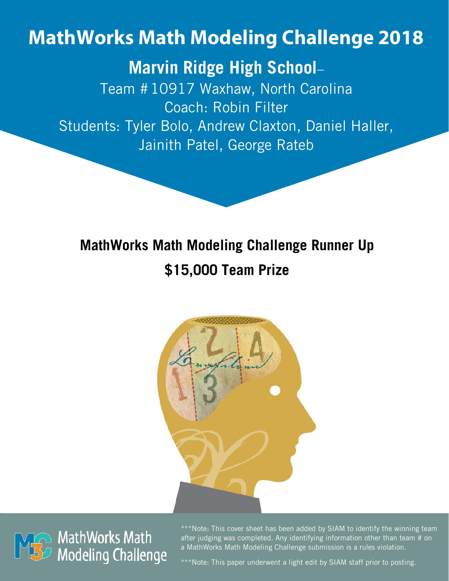# **MathWorks Math Modeling Challenge 2018**

## **Marvin Ridge High School**–

Team #10917 Waxhaw, North Carolina Coach: Robin Filter Students: Tyler Bolo, Andrew Claxton, Daniel Haller, Jainith Patel, George Rateb

## **MathWorks Math Modeling Challenge Runner Up \$15,000 Team Prize**





\*\*\*Note: This cover sheet has been added by SIAM to identify the winning team after judging was completed. Any identifying information other than team # on a MathWorks Math Modeling Challenge submission is a rules violation.

\*\*\*Note: This paper underwent a light edit by SIAM staff prior to posting.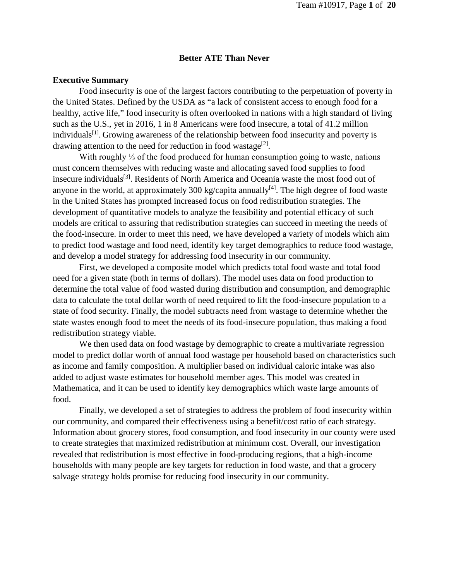#### **Better ATE Than Never**

#### **Executive Summary**

Food insecurity is one of the largest factors contributing to the perpetuation of poverty in the United States. Defined by the USDA as "a lack of consistent access to enough food for a healthy, active life," food insecurity is often overlooked in nations with a high standard of living such as the U.S., yet in 2016, 1 in 8 Americans were food insecure, a total of 41.2 million individuals<sup>[1]</sup>. Growing awareness of the relationship between food insecurity and poverty is drawing attention to the need for reduction in food wastage<sup>[2]</sup>.

With roughly ⅓ of the food produced for human consumption going to waste, nations must concern themselves with reducing waste and allocating saved food supplies to food insecure individuals<sup>[3]</sup>. Residents of North America and Oceania waste the most food out of anyone in the world, at approximately 300 kg/capita annually<sup>[4]</sup>. The high degree of food waste in the United States has prompted increased focus on food redistribution strategies. The development of quantitative models to analyze the feasibility and potential efficacy of such models are critical to assuring that redistribution strategies can succeed in meeting the needs of the food-insecure. In order to meet this need, we have developed a variety of models which aim to predict food wastage and food need, identify key target demographics to reduce food wastage, and develop a model strategy for addressing food insecurity in our community.

First, we developed a composite model which predicts total food waste and total food need for a given state (both in terms of dollars). The model uses data on food production to determine the total value of food wasted during distribution and consumption, and demographic data to calculate the total dollar worth of need required to lift the food-insecure population to a state of food security. Finally, the model subtracts need from wastage to determine whether the state wastes enough food to meet the needs of its food-insecure population, thus making a food redistribution strategy viable.

We then used data on food wastage by demographic to create a multivariate regression model to predict dollar worth of annual food wastage per household based on characteristics such as income and family composition. A multiplier based on individual caloric intake was also added to adjust waste estimates for household member ages. This model was created in Mathematica, and it can be used to identify key demographics which waste large amounts of food.

Finally, we developed a set of strategies to address the problem of food insecurity within our community, and compared their effectiveness using a benefit/cost ratio of each strategy. Information about grocery stores, food consumption, and food insecurity in our county were used to create strategies that maximized redistribution at minimum cost. Overall, our investigation revealed that redistribution is most effective in food-producing regions, that a high-income households with many people are key targets for reduction in food waste, and that a grocery salvage strategy holds promise for reducing food insecurity in our community.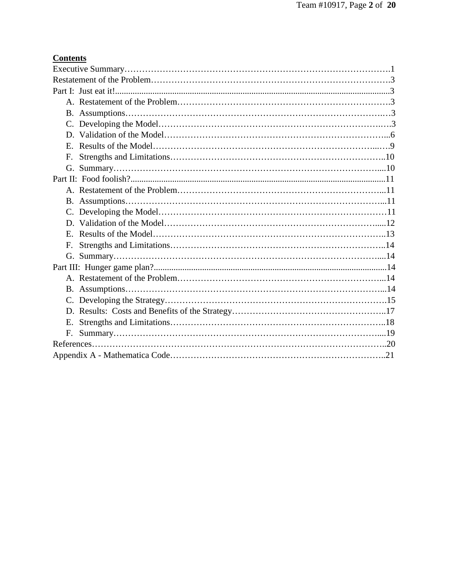## **Contents**

| $E_{\rm c}$ |  |  |  |  |
|-------------|--|--|--|--|
| F.          |  |  |  |  |
|             |  |  |  |  |
|             |  |  |  |  |
|             |  |  |  |  |
|             |  |  |  |  |
|             |  |  |  |  |
|             |  |  |  |  |
|             |  |  |  |  |
| F.          |  |  |  |  |
|             |  |  |  |  |
|             |  |  |  |  |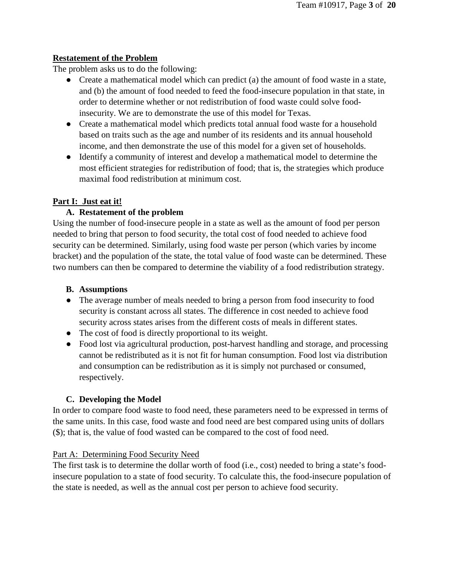#### **Restatement of the Problem**

The problem asks us to do the following:

- Create a mathematical model which can predict (a) the amount of food waste in a state, and (b) the amount of food needed to feed the food-insecure population in that state, in order to determine whether or not redistribution of food waste could solve foodinsecurity. We are to demonstrate the use of this model for Texas.
- Create a mathematical model which predicts total annual food waste for a household based on traits such as the age and number of its residents and its annual household income, and then demonstrate the use of this model for a given set of households.
- Identify a community of interest and develop a mathematical model to determine the most efficient strategies for redistribution of food; that is, the strategies which produce maximal food redistribution at minimum cost.

## **Part I: Just eat it!**

## **A. Restatement of the problem**

Using the number of food-insecure people in a state as well as the amount of food per person needed to bring that person to food security, the total cost of food needed to achieve food security can be determined. Similarly, using food waste per person (which varies by income bracket) and the population of the state, the total value of food waste can be determined. These two numbers can then be compared to determine the viability of a food redistribution strategy.

## **B. Assumptions**

- The average number of meals needed to bring a person from food insecurity to food security is constant across all states. The difference in cost needed to achieve food security across states arises from the different costs of meals in different states.
- The cost of food is directly proportional to its weight.
- Food lost via agricultural production, post-harvest handling and storage, and processing cannot be redistributed as it is not fit for human consumption. Food lost via distribution and consumption can be redistribution as it is simply not purchased or consumed, respectively.

## **C. Developing the Model**

In order to compare food waste to food need, these parameters need to be expressed in terms of the same units. In this case, food waste and food need are best compared using units of dollars (\$); that is, the value of food wasted can be compared to the cost of food need.

#### Part A: Determining Food Security Need

The first task is to determine the dollar worth of food (i.e., cost) needed to bring a state's foodinsecure population to a state of food security. To calculate this, the food-insecure population of the state is needed, as well as the annual cost per person to achieve food security.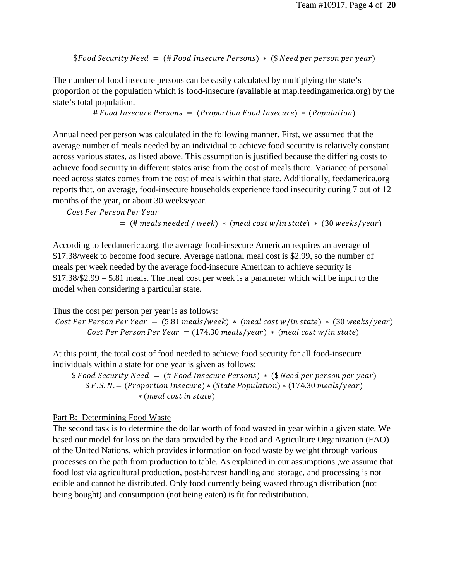$$Food Security Need = (# Food Insecure Persons) * ($ Need per person per year)$ 

The number of food insecure persons can be easily calculated by multiplying the state's proportion of the population which is food-insecure (available at map.feedingamerica.org) by the state's total population.

 $# Food Insecure~Persons = (Proportion Food Insecure) * (Population)$ 

Annual need per person was calculated in the following manner. First, we assumed that the average number of meals needed by an individual to achieve food security is relatively constant across various states, as listed above. This assumption is justified because the differing costs to achieve food security in different states arise from the cost of meals there. Variance of personal need across states comes from the cost of meals within that state. Additionally, feedamerica.org reports that, on average, food-insecure households experience food insecurity during 7 out of 12 months of the year, or about 30 weeks/year.

Cost Per Person Per Year

 $=$  (# meals needed / week)  $*$  (meal cost w/in state)  $*$  (30 weeks/year)

According to feedamerica.org, the average food-insecure American requires an average of \$17.38/week to become food secure. Average national meal cost is \$2.99, so the number of meals per week needed by the average food-insecure American to achieve security is  $$17.38/\$2.99 = 5.81$  meals. The meal cost per week is a parameter which will be input to the model when considering a particular state.

Thus the cost per person per year is as follows:

Cost Per Person Per Year =  $(5.81$  meals/week) \* (meal cost w/in state) \*  $(30$  weeks/year) Cost Per Person Per Year =  $(174.30 \text{ meals/year}) * ($ meal cost w/in state)

At this point, the total cost of food needed to achieve food security for all food-insecure individuals within a state for one year is given as follows:

 $$ Food Security Need = (*# Food Insecure Persons*) * (*$ Need per person per year*)$  $$F.S.N. = (Proportion Insecure) * (State Population) * (174.30 \,meals/year)$ ∗ ( )

#### Part B: Determining Food Waste

The second task is to determine the dollar worth of food wasted in year within a given state. We based our model for loss on the data provided by the Food and Agriculture Organization (FAO) of the United Nations, which provides information on food waste by weight through various processes on the path from production to table. As explained in our assumptions ,we assume that food lost via agricultural production, post-harvest handling and storage, and processing is not edible and cannot be distributed. Only food currently being wasted through distribution (not being bought) and consumption (not being eaten) is fit for redistribution.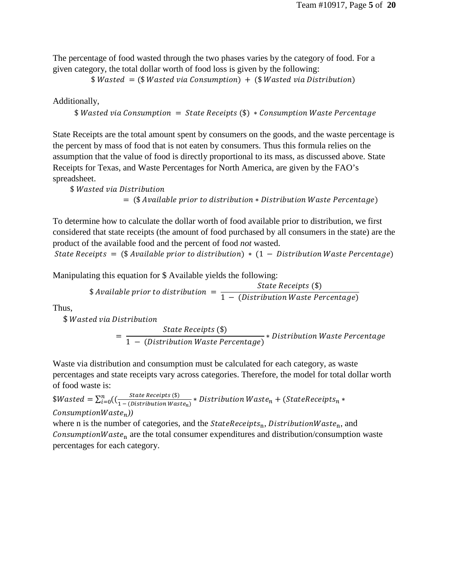The percentage of food wasted through the two phases varies by the category of food. For a given category, the total dollar worth of food loss is given by the following:

 $Wasted = (\frac{2}{3} Wasted \, via \, Construction) + (\frac{2}{3} Wasted \, via \, Distribution)$ 

Additionally,

```
$Wasted via Consumption = State Receipts ($) * Consumption Wave Percentage
```
State Receipts are the total amount spent by consumers on the goods, and the waste percentage is the percent by mass of food that is not eaten by consumers. Thus this formula relies on the assumption that the value of food is directly proportional to its mass, as discussed above. State Receipts for Texas, and Waste Percentages for North America, are given by the FAO's spreadsheet.

 $$Wasted via Distribution$  $=$  (\$ Available prior to distribution  $*$  Distribution Waste Percentage)

To determine how to calculate the dollar worth of food available prior to distribution, we first considered that state receipts (the amount of food purchased by all consumers in the state) are the product of the available food and the percent of food *not* wasted.

State Receipts = (\$ Available prior to distribution)  $*$  (1 – Distribution Waste Percentage)

Manipulating this equation for \$ Available yields the following:

$$
$Available prior to distribution = \frac{State\ Records ($)}{1 - (Distribution\textit{Waste Percentage})}
$$

Thus,

\$ Wasted via Distribution

 $= \frac{State\ Records\ (\$\)}{1 - (Distribution\ Most\ Po}$ 1 − (Distribution Waste Percentage) ∗

Waste via distribution and consumption must be calculated for each category, as waste percentages and state receipts vary across categories. Therefore, the model for total dollar worth of food waste is:

 $Wasted = \sum_{i=0}^{n} ((\frac{State\ Records\ (s)}{1 - (Distribution\ waste_n)} * Distribution\ West\ (Naste_n + (StateReceipts_n *$  $\mathcal{L}$ onsumptionWaste<sub>n</sub>))

where n is the number of categories, and the  $StateReceipts_n$ , Distribution Waste<sub>n</sub>, and Consumption Waste<sub>n</sub> are the total consumer expenditures and distribution/consumption waste percentages for each category.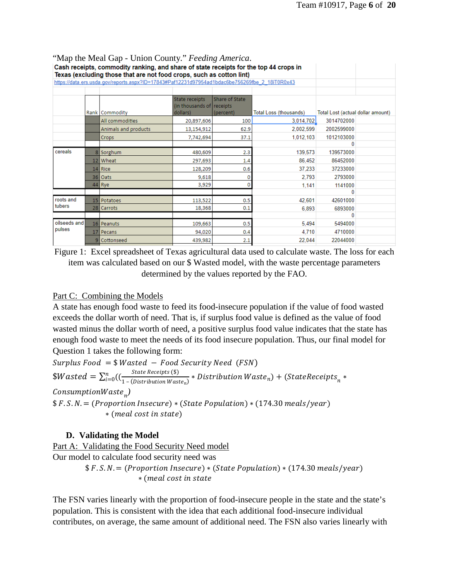| <b>Nap the Meal Gap - Ollion County.</b> <i>Peeding America</i> .<br>Cash receipts, commodity ranking, and share of state receipts for the top 44 crops in |                                                                                                                                                                        |                      |                                                          |                             |                        |                                   |  |
|------------------------------------------------------------------------------------------------------------------------------------------------------------|------------------------------------------------------------------------------------------------------------------------------------------------------------------------|----------------------|----------------------------------------------------------|-----------------------------|------------------------|-----------------------------------|--|
|                                                                                                                                                            | Texas (excluding those that are not food crops, such as cotton lint)<br>https://data.ers.usda.gov/reports.aspx?ID=17843#Paf12231d97954ad1bdac6be756269fbe 2_18iT0R0x43 |                      |                                                          |                             |                        |                                   |  |
|                                                                                                                                                            |                                                                                                                                                                        |                      |                                                          |                             |                        |                                   |  |
|                                                                                                                                                            |                                                                                                                                                                        | Rank Commodity       | State receipts<br>(in thousands of receipts)<br>dollars) | Share of State<br>(percent) | Total Loss (thousands) | Total Lost (actual dollar amount) |  |
|                                                                                                                                                            |                                                                                                                                                                        | All commodities      | 20,897,606                                               | 100                         | 3,014,702              | 3014702000                        |  |
|                                                                                                                                                            |                                                                                                                                                                        | Animals and products | 13,154,912                                               | 62.9                        | 2,002,599              | 2002599000                        |  |
|                                                                                                                                                            |                                                                                                                                                                        | <b>Crops</b>         | 7,742,694                                                | 37.1                        | 1,012,103              | 1012103000                        |  |
|                                                                                                                                                            |                                                                                                                                                                        |                      |                                                          |                             |                        | 0                                 |  |
| cereals                                                                                                                                                    |                                                                                                                                                                        | 8 Sorghum            | 480,609                                                  | 2.3                         | 139,573                | 139573000                         |  |
|                                                                                                                                                            |                                                                                                                                                                        | 12 Wheat             | 297,693                                                  | 1.4                         | 86,452                 | 86452000                          |  |
|                                                                                                                                                            |                                                                                                                                                                        | 14 Rice              | 128,209                                                  | 0.6                         | 37,233                 | 37233000                          |  |
|                                                                                                                                                            |                                                                                                                                                                        | 36 Oats              | 9,618                                                    | 0                           | 2.793                  | 2793000                           |  |
|                                                                                                                                                            |                                                                                                                                                                        | 44 Rye               | 3,929                                                    | 0                           | 1,141                  | 1141000                           |  |
|                                                                                                                                                            |                                                                                                                                                                        |                      |                                                          |                             |                        | n                                 |  |
| roots and<br>tubers                                                                                                                                        |                                                                                                                                                                        | 15 Potatoes          | 113,522                                                  | 0.5                         | 42,601                 | 42601000                          |  |
|                                                                                                                                                            |                                                                                                                                                                        | 28 Carrots           | 18,368                                                   | 0.1                         | 6.893                  | 6893000                           |  |
|                                                                                                                                                            |                                                                                                                                                                        |                      |                                                          |                             |                        | 0                                 |  |
| oilseeds and<br>pulses                                                                                                                                     |                                                                                                                                                                        | 16 Peanuts           | 109,663                                                  | 0.5                         | 5,494                  | 5494000                           |  |
|                                                                                                                                                            |                                                                                                                                                                        | 17 Pecans            | 94,020                                                   | 0.4                         | 4,710                  | 4710000                           |  |
|                                                                                                                                                            |                                                                                                                                                                        | Cottonseed           | 439,982                                                  | 2.1                         | 22,044                 | 22044000                          |  |
|                                                                                                                                                            |                                                                                                                                                                        |                      |                                                          |                             |                        |                                   |  |

"Map the Meal Gap - Union County." *Feeding America*.

Figure 1: Excel spreadsheet of Texas agricultural data used to calculate waste. The loss for each item was calculated based on our \$ Wasted model, with the waste percentage parameters determined by the values reported by the FAO.

#### Part C: Combining the Models

A state has enough food waste to feed its food-insecure population if the value of food wasted exceeds the dollar worth of need. That is, if surplus food value is defined as the value of food wasted minus the dollar worth of need, a positive surplus food value indicates that the state has enough food waste to meet the needs of its food insecure population. Thus, our final model for Question 1 takes the following form:

 $Surplus Food = $Wasted - Food Security Need (FSN)$  $Wasted = \sum_{i=0}^{n} ((\frac{State\ Receips\ (\$)}{1 - (Distribution\ Water\}) * Distribution\ Water_{n}) + (StateReceipts_{n} *$  *)*  $$F.S.N. = (Proportion Insecure) * (State Population) * (174.30 \,meals/year)$ ∗ ( )

#### **D. Validating the Model**

Part A: Validating the Food Security Need model Our model to calculate food security need was  $$F.S.N. = (Proportion Insecure) * (State Population) * (174.30 \,meals/year)$ 

∗ (

The FSN varies linearly with the proportion of food-insecure people in the state and the state's population. This is consistent with the idea that each additional food-insecure individual contributes, on average, the same amount of additional need. The FSN also varies linearly with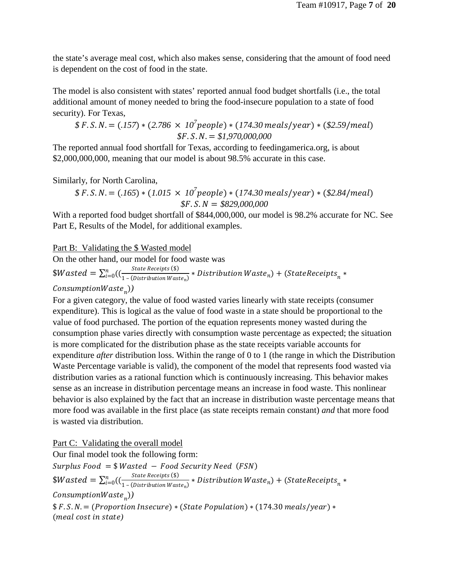the state's average meal cost, which also makes sense, considering that the amount of food need is dependent on the cost of food in the state.

The model is also consistent with states' reported annual food budget shortfalls (i.e., the total additional amount of money needed to bring the food-insecure population to a state of food security). For Texas,

$$
$F.S.N. = (.157) * (2.786 × 107 people) * (174.30 meals/year) * ($2.59/med)
$$
  
\$F.S.N. = \$1,970,000,000

The reported annual food shortfall for Texas, according to feedingamerica.org, is about \$2,000,000,000, meaning that our model is about 98.5% accurate in this case.

Similarly, for North Carolina,

$$
$F.S.N. = (.165) * (1.015 × 107 people) * (174.30 meals/year) * ($2.84/meal)
$$
  
\$F.S.N = \$829,000,000

With a reported food budget shortfall of \$844,000,000, our model is 98.2% accurate for NC. See Part E, Results of the Model, for additional examples.

Part B: Validating the \$ Wasted model

On the other hand, our model for food waste was  $Wasted = \sum_{i=0}^{n} ((\frac{State\ Receips\ (\$)}{1 - (Distribution\ Water\}) * Distribution\ Water_{n}) + (StateReceipts_{n} *$ 

#### $\mathit{ConsumptionWaste}_{n}$ )

For a given category, the value of food wasted varies linearly with state receipts (consumer expenditure). This is logical as the value of food waste in a state should be proportional to the value of food purchased. The portion of the equation represents money wasted during the consumption phase varies directly with consumption waste percentage as expected; the situation is more complicated for the distribution phase as the state receipts variable accounts for expenditure *after* distribution loss. Within the range of 0 to 1 (the range in which the Distribution Waste Percentage variable is valid), the component of the model that represents food wasted via distribution varies as a rational function which is continuously increasing. This behavior makes sense as an increase in distribution percentage means an increase in food waste. This nonlinear behavior is also explained by the fact that an increase in distribution waste percentage means that more food was available in the first place (as state receipts remain constant) *and* that more food is wasted via distribution.

Part C: Validating the overall model Our final model took the following form:  $Surplus Food = $Wasted - Food Security Need (FSN)$  $Wasted = \sum_{i=0}^{n} ((\frac{State\ Receips\ (\$)}{1 - (Distribution\ Water\}) * Distribution\ Water_{n}) + (StateReceipts_{n} *$  $\mathit{ConsumptionWaste}_{n})$  $$F.S.N. = (Proportion Insecure) * (State Population) * (174.30 \,meals/year) *$ (*meal cost in state*)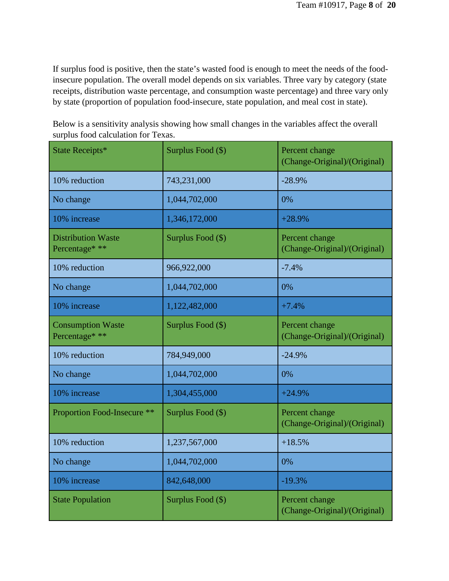If surplus food is positive, then the state's wasted food is enough to meet the needs of the foodinsecure population. The overall model depends on six variables. Three vary by category (state receipts, distribution waste percentage, and consumption waste percentage) and three vary only by state (proportion of population food-insecure, state population, and meal cost in state).

Below is a sensitivity analysis showing how small changes in the variables affect the overall surplus food calculation for Texas.

| State Receipts*                             | Surplus Food (\$) | Percent change<br>(Change-Original)/(Original) |
|---------------------------------------------|-------------------|------------------------------------------------|
| 10% reduction                               | 743,231,000       | $-28.9%$                                       |
| No change                                   | 1,044,702,000     | 0%                                             |
| 10% increase                                | 1,346,172,000     | $+28.9%$                                       |
| <b>Distribution Waste</b><br>Percentage* ** | Surplus Food (\$) | Percent change<br>(Change-Original)/(Original) |
| 10% reduction                               | 966,922,000       | $-7.4%$                                        |
| No change                                   | 1,044,702,000     | 0%                                             |
| 10% increase                                | 1,122,482,000     | $+7.4%$                                        |
| <b>Consumption Waste</b><br>Percentage* **  | Surplus Food (\$) | Percent change<br>(Change-Original)/(Original) |
| 10% reduction                               | 784,949,000       | $-24.9%$                                       |
| No change                                   | 1,044,702,000     | 0%                                             |
| 10% increase                                | 1,304,455,000     | $+24.9%$                                       |
| Proportion Food-Insecure **                 | Surplus Food (\$) | Percent change<br>(Change-Original)/(Original) |
| 10% reduction                               | 1,237,567,000     | $+18.5%$                                       |
| No change                                   | 1,044,702,000     | 0%                                             |
| 10% increase                                | 842,648,000       | $-19.3%$                                       |
| <b>State Population</b>                     | Surplus Food (\$) | Percent change<br>(Change-Original)/(Original) |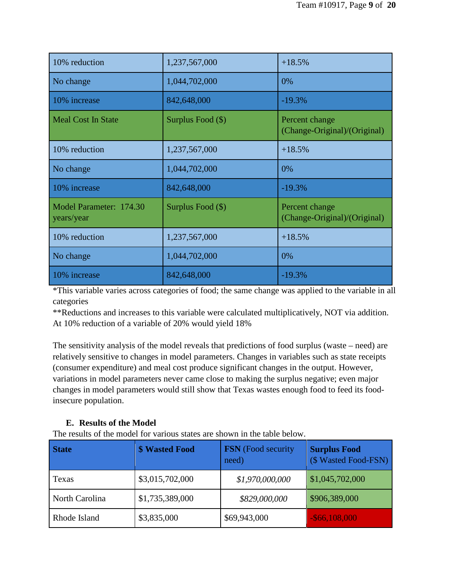| 10% reduction                         | 1,237,567,000     | $+18.5%$                                       |
|---------------------------------------|-------------------|------------------------------------------------|
| No change                             | 1,044,702,000     | 0%                                             |
| 10% increase                          | 842,648,000       | $-19.3%$                                       |
| <b>Meal Cost In State</b>             | Surplus Food (\$) | Percent change<br>(Change-Original)/(Original) |
| 10% reduction                         | 1,237,567,000     | $+18.5%$                                       |
| No change                             | 1,044,702,000     | 0%                                             |
| 10% increase                          | 842,648,000       | $-19.3%$                                       |
| Model Parameter: 174.30<br>years/year | Surplus Food (\$) | Percent change<br>(Change-Original)/(Original) |
| 10% reduction                         | 1,237,567,000     | $+18.5%$                                       |
| No change                             | 1,044,702,000     | 0%                                             |
| 10% increase                          | 842,648,000       | $-19.3%$                                       |

\*This variable varies across categories of food; the same change was applied to the variable in all categories

\*\*Reductions and increases to this variable were calculated multiplicatively, NOT via addition. At 10% reduction of a variable of 20% would yield 18%

The sensitivity analysis of the model reveals that predictions of food surplus (waste – need) are relatively sensitive to changes in model parameters. Changes in variables such as state receipts (consumer expenditure) and meal cost produce significant changes in the output. However, variations in model parameters never came close to making the surplus negative; even major changes in model parameters would still show that Texas wastes enough food to feed its foodinsecure population.

#### **E. Results of the Model**

The results of the model for various states are shown in the table below.

| <b>State</b>   | <b>\$ Wasted Food</b> | FSN (Food security<br>need) | <b>Surplus Food</b><br>(\$ Wasted Food-FSN) |
|----------------|-----------------------|-----------------------------|---------------------------------------------|
| Texas          | \$3,015,702,000       | \$1,970,000,000             | \$1,045,702,000                             |
| North Carolina | \$1,735,389,000       | \$829,000,000               | \$906,389,000                               |
| Rhode Island   | \$3,835,000           | \$69,943,000                | $-$ \$66,108,000                            |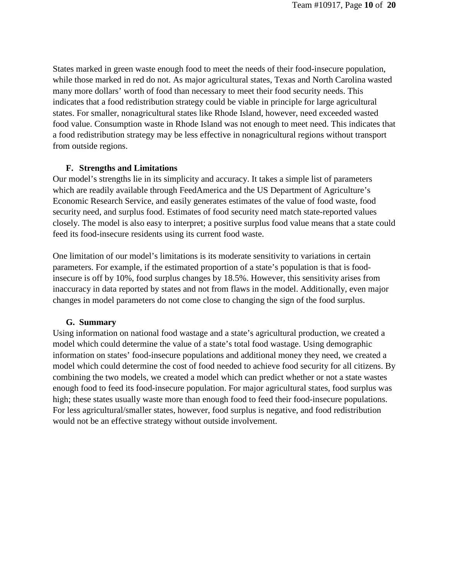States marked in green waste enough food to meet the needs of their food-insecure population, while those marked in red do not. As major agricultural states, Texas and North Carolina wasted many more dollars' worth of food than necessary to meet their food security needs. This indicates that a food redistribution strategy could be viable in principle for large agricultural states. For smaller, nonagricultural states like Rhode Island, however, need exceeded wasted food value. Consumption waste in Rhode Island was not enough to meet need. This indicates that a food redistribution strategy may be less effective in nonagricultural regions without transport from outside regions.

#### **F. Strengths and Limitations**

Our model's strengths lie in its simplicity and accuracy. It takes a simple list of parameters which are readily available through FeedAmerica and the US Department of Agriculture's Economic Research Service, and easily generates estimates of the value of food waste, food security need, and surplus food. Estimates of food security need match state-reported values closely. The model is also easy to interpret; a positive surplus food value means that a state could feed its food-insecure residents using its current food waste.

One limitation of our model's limitations is its moderate sensitivity to variations in certain parameters. For example, if the estimated proportion of a state's population is that is foodinsecure is off by 10%, food surplus changes by 18.5%. However, this sensitivity arises from inaccuracy in data reported by states and not from flaws in the model. Additionally, even major changes in model parameters do not come close to changing the sign of the food surplus.

#### **G. Summary**

Using information on national food wastage and a state's agricultural production, we created a model which could determine the value of a state's total food wastage. Using demographic information on states' food-insecure populations and additional money they need, we created a model which could determine the cost of food needed to achieve food security for all citizens. By combining the two models, we created a model which can predict whether or not a state wastes enough food to feed its food-insecure population. For major agricultural states, food surplus was high; these states usually waste more than enough food to feed their food-insecure populations. For less agricultural/smaller states, however, food surplus is negative, and food redistribution would not be an effective strategy without outside involvement.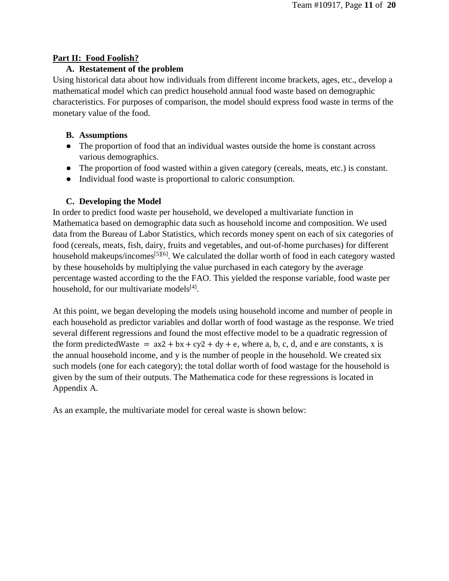#### **Part II: Food Foolish?**

#### **A. Restatement of the problem**

Using historical data about how individuals from different income brackets, ages, etc., develop a mathematical model which can predict household annual food waste based on demographic characteristics. For purposes of comparison, the model should express food waste in terms of the monetary value of the food.

#### **B. Assumptions**

- The proportion of food that an individual wastes outside the home is constant across various demographics.
- The proportion of food wasted within a given category (cereals, meats, etc.) is constant.
- Individual food waste is proportional to caloric consumption.

## **C. Developing the Model**

In order to predict food waste per household, we developed a multivariate function in Mathematica based on demographic data such as household income and composition. We used data from the Bureau of Labor Statistics, which records money spent on each of six categories of food (cereals, meats, fish, dairy, fruits and vegetables, and out-of-home purchases) for different household makeups/incomes<sup>[5][6]</sup>. We calculated the dollar worth of food in each category wasted by these households by multiplying the value purchased in each category by the average percentage wasted according to the the FAO. This yielded the response variable, food waste per household, for our multivariate models $[4]$ .

At this point, we began developing the models using household income and number of people in each household as predictor variables and dollar worth of food wastage as the response. We tried several different regressions and found the most effective model to be a quadratic regression of the form predicted Waste =  $ax2 + bx + cy2 + dy + e$ , where a, b, c, d, and e are constants, x is the annual household income, and y is the number of people in the household. We created six such models (one for each category); the total dollar worth of food wastage for the household is given by the sum of their outputs. The Mathematica code for these regressions is located in Appendix A.

As an example, the multivariate model for cereal waste is shown below: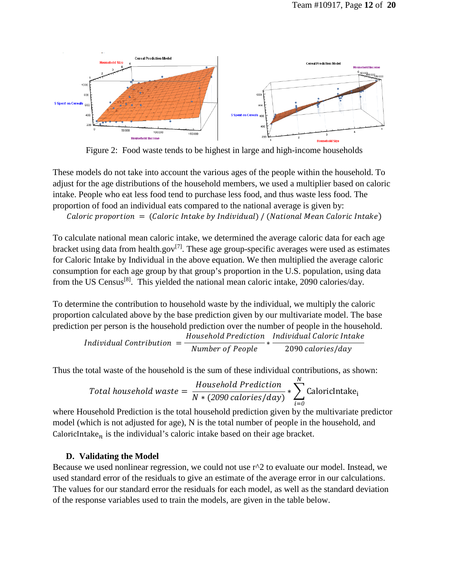

Figure 2: Food waste tends to be highest in large and high-income households

These models do not take into account the various ages of the people within the household. To adjust for the age distributions of the household members, we used a multiplier based on caloric intake. People who eat less food tend to purchase less food, and thus waste less food. The proportion of food an individual eats compared to the national average is given by: Caloric proportion  $=$  (Caloric Intake by Individual) / (National Mean Caloric Intake)

To calculate national mean caloric intake, we determined the average caloric data for each age bracket using data from health.gov<sup>[7]</sup>. These age group-specific averages were used as estimates for Caloric Intake by Individual in the above equation. We then multiplied the average caloric consumption for each age group by that group's proportion in the U.S. population, using data from the US Census<sup>[8]</sup>. This yielded the national mean caloric intake, 2090 calories/day.

To determine the contribution to household waste by the individual, we multiply the caloric proportion calculated above by the base prediction given by our multivariate model. The base prediction per person is the household prediction over the number of people in the household.

$$
Individual\ Continution = \frac{Household\ Prediction}{Number\ of\ People} * \frac{Individual\ Caloric\ Intake}{2090\ calories/day}
$$

Thus the total waste of the household is the sum of these individual contributions, as shown:

Total household waste = 
$$
\frac{Household\ Prediction}{N*(2090\ calories/day)} * \sum_{i=0}^{N} \text{Calorichtake}_{i}
$$

where Household Prediction is the total household prediction given by the multivariate predictor model (which is not adjusted for age), N is the total number of people in the household, and CaloricIntake<sub>n</sub> is the individual's caloric intake based on their age bracket.

#### **D. Validating the Model**

Because we used nonlinear regression, we could not use  $r^2$  to evaluate our model. Instead, we used standard error of the residuals to give an estimate of the average error in our calculations. The values for our standard error the residuals for each model, as well as the standard deviation of the response variables used to train the models, are given in the table below.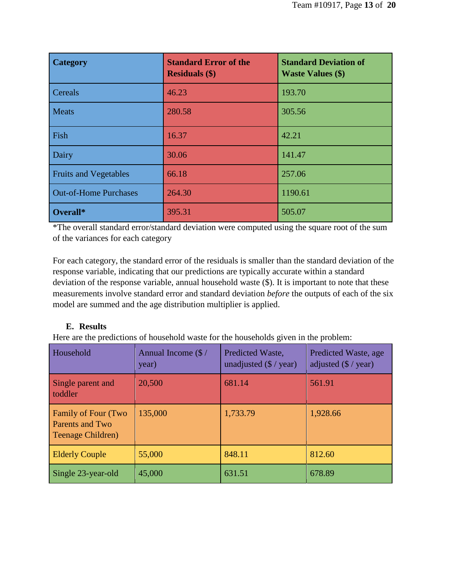| <b>Category</b>              | <b>Standard Error of the</b><br><b>Residuals (\$)</b> | <b>Standard Deviation of</b><br><b>Waste Values (\$)</b> |
|------------------------------|-------------------------------------------------------|----------------------------------------------------------|
| <b>Cereals</b>               | 46.23                                                 | 193.70                                                   |
| <b>Meats</b>                 | 280.58                                                | 305.56                                                   |
| Fish                         | 16.37                                                 | 42.21                                                    |
| Dairy                        | 30.06                                                 | 141.47                                                   |
| <b>Fruits and Vegetables</b> | 66.18                                                 | 257.06                                                   |
| <b>Out-of-Home Purchases</b> | 264.30                                                | 1190.61                                                  |
| Overall*                     | 395.31                                                | 505.07                                                   |

\*The overall standard error/standard deviation were computed using the square root of the sum of the variances for each category

For each category, the standard error of the residuals is smaller than the standard deviation of the response variable, indicating that our predictions are typically accurate within a standard deviation of the response variable, annual household waste (\$). It is important to note that these measurements involve standard error and standard deviation *before* the outputs of each of the six model are summed and the age distribution multiplier is applied.

## **E. Results**

Here are the predictions of household waste for the households given in the problem:

| Household                                                                 | Annual Income $(\frac{2}{3})$<br>year) | Predicted Waste,<br>unadjusted $(\frac{2}{3} / \text{year})$ | Predicted Waste, age<br>adjusted $(\frac{6}{x})$ year) |
|---------------------------------------------------------------------------|----------------------------------------|--------------------------------------------------------------|--------------------------------------------------------|
| Single parent and<br>toddler                                              | 20,500                                 | 681.14                                                       | 561.91                                                 |
| <b>Family of Four (Two</b><br><b>Parents and Two</b><br>Teenage Children) | 135,000                                | 1,733.79                                                     | 1,928.66                                               |
| <b>Elderly Couple</b>                                                     | 55,000                                 | 848.11                                                       | 812.60                                                 |
| Single 23-year-old                                                        | 45,000                                 | 631.51                                                       | 678.89                                                 |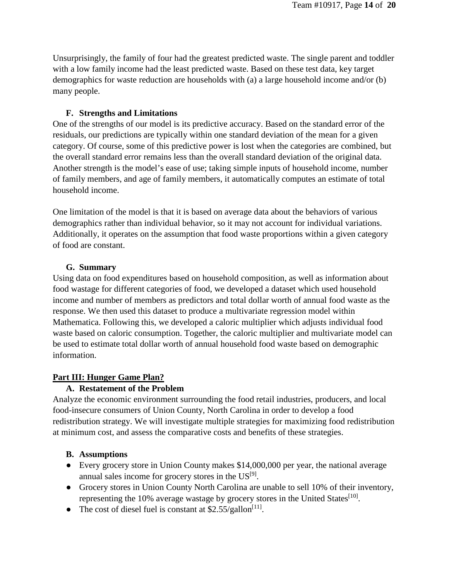Unsurprisingly, the family of four had the greatest predicted waste. The single parent and toddler with a low family income had the least predicted waste. Based on these test data, key target demographics for waste reduction are households with (a) a large household income and/or (b) many people.

#### **F. Strengths and Limitations**

One of the strengths of our model is its predictive accuracy. Based on the standard error of the residuals, our predictions are typically within one standard deviation of the mean for a given category. Of course, some of this predictive power is lost when the categories are combined, but the overall standard error remains less than the overall standard deviation of the original data. Another strength is the model's ease of use; taking simple inputs of household income, number of family members, and age of family members, it automatically computes an estimate of total household income.

One limitation of the model is that it is based on average data about the behaviors of various demographics rather than individual behavior, so it may not account for individual variations. Additionally, it operates on the assumption that food waste proportions within a given category of food are constant.

#### **G. Summary**

Using data on food expenditures based on household composition, as well as information about food wastage for different categories of food, we developed a dataset which used household income and number of members as predictors and total dollar worth of annual food waste as the response. We then used this dataset to produce a multivariate regression model within Mathematica. Following this, we developed a caloric multiplier which adjusts individual food waste based on caloric consumption. Together, the caloric multiplier and multivariate model can be used to estimate total dollar worth of annual household food waste based on demographic information.

#### **Part III: Hunger Game Plan?**

#### **A. Restatement of the Problem**

Analyze the economic environment surrounding the food retail industries, producers, and local food-insecure consumers of Union County, North Carolina in order to develop a food redistribution strategy. We will investigate multiple strategies for maximizing food redistribution at minimum cost, and assess the comparative costs and benefits of these strategies.

#### **B. Assumptions**

- Every grocery store in Union County makes \$14,000,000 per year, the national average annual sales income for grocery stores in the  $US^{[9]}$ .
- Grocery stores in Union County North Carolina are unable to sell 10% of their inventory, representing the 10% average wastage by grocery stores in the United States<sup>[10]</sup>.
- The cost of diesel fuel is constant at  $$2.55/gallon<sup>[11]</sup>$ .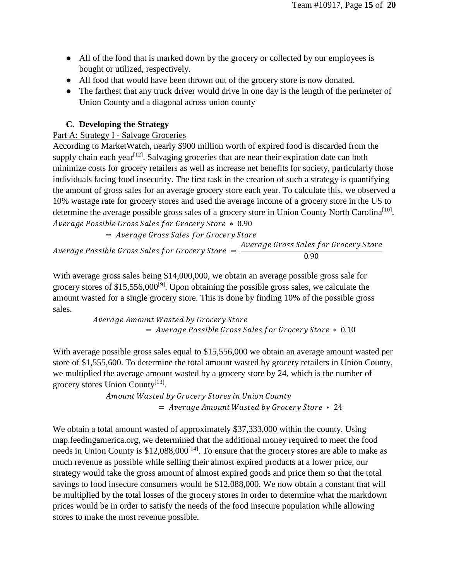- All of the food that is marked down by the grocery or collected by our employees is bought or utilized, respectively.
- All food that would have been thrown out of the grocery store is now donated.
- The farthest that any truck driver would drive in one day is the length of the perimeter of Union County and a diagonal across union county

## **C. Developing the Strategy**

## Part A: Strategy I - Salvage Groceries

According to MarketWatch, nearly \$900 million worth of expired food is discarded from the supply chain each year<sup>[12]</sup>. Salvaging groceries that are near their expiration date can both minimize costs for grocery retailers as well as increase net benefits for society, particularly those individuals facing food insecurity. The first task in the creation of such a strategy is quantifying the amount of gross sales for an average grocery store each year. To calculate this, we observed a 10% wastage rate for grocery stores and used the average income of a grocery store in the US to determine the average possible gross sales of a grocery store in Union County North Carolina<sup>[10]</sup>. Average Possible Gross Sales for Grocery Store \* 0.90

= Average Gross Sales for Grocery Store

Average Possible Gross Sales for Grocery Store  $= \frac{Average\ Gross\ Sales\ for\ Grocery\ Store}{0.90}$ 

With average gross sales being \$14,000,000, we obtain an average possible gross sale for grocery stores of  $$15,556,000^{9}$ . Upon obtaining the possible gross sales, we calculate the amount wasted for a single grocery store. This is done by finding 10% of the possible gross sales.

> Average Amount Wasted by Grocery Store  $=$  Average Possible Gross Sales for Grocery Store  $*$  0.10

With average possible gross sales equal to \$15,556,000 we obtain an average amount wasted per store of \$1,555,600. To determine the total amount wasted by grocery retailers in Union County, we multiplied the average amount wasted by a grocery store by 24, which is the number of grocery stores Union County<sup>[13]</sup>.

> Amount Wasted by Grocery Stores in Union County  $=$  Average Amount Wasted by Grocery Store  $*$  24

We obtain a total amount wasted of approximately \$37,333,000 within the county. Using map.feedingamerica.org, we determined that the additional money required to meet the food needs in Union County is  $$12,088,000$ <sup>[14]</sup>. To ensure that the grocery stores are able to make as much revenue as possible while selling their almost expired products at a lower price, our strategy would take the gross amount of almost expired goods and price them so that the total savings to food insecure consumers would be \$12,088,000. We now obtain a constant that will be multiplied by the total losses of the grocery stores in order to determine what the markdown prices would be in order to satisfy the needs of the food insecure population while allowing stores to make the most revenue possible.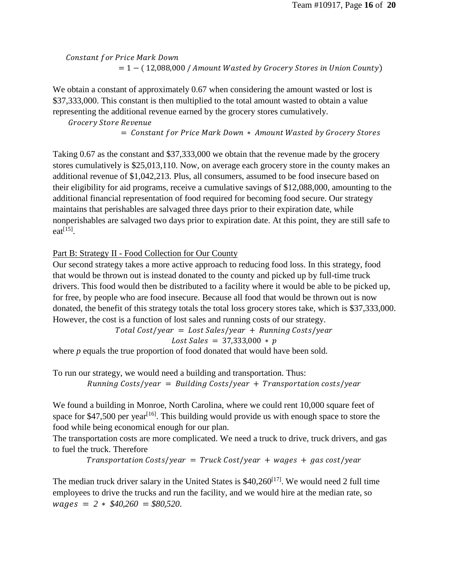Constant for Price Mark Down  $= 1 - (12,088,000 / A$ mount Wasted by Grocery Stores in Union County)

We obtain a constant of approximately 0.67 when considering the amount wasted or lost is \$37,333,000. This constant is then multiplied to the total amount wasted to obtain a value representing the additional revenue earned by the grocery stores cumulatively.

Grocery Store Revenue

= Constant for Price Mark Down \* Amount Wasted by Grocery Stores

Taking 0.67 as the constant and \$37,333,000 we obtain that the revenue made by the grocery stores cumulatively is \$25,013,110. Now, on average each grocery store in the county makes an additional revenue of \$1,042,213. Plus, all consumers, assumed to be food insecure based on their eligibility for aid programs, receive a cumulative savings of \$12,088,000, amounting to the additional financial representation of food required for becoming food secure. Our strategy maintains that perishables are salvaged three days prior to their expiration date, while nonperishables are salvaged two days prior to expiration date. At this point, they are still safe to  $eat^{[15]}$ .

#### Part B: Strategy II - Food Collection for Our County

Our second strategy takes a more active approach to reducing food loss. In this strategy, food that would be thrown out is instead donated to the county and picked up by full-time truck drivers. This food would then be distributed to a facility where it would be able to be picked up, for free, by people who are food insecure. Because all food that would be thrown out is now donated, the benefit of this strategy totals the total loss grocery stores take, which is \$37,333,000. However, the cost is a function of lost sales and running costs of our strategy.

> $Total Cost/year = Lost Sales/year + Running Costs/year$  $Loss\ Sales = 37,333,000 * p$

where *p* equals the true proportion of food donated that would have been sold.

To run our strategy, we would need a building and transportation. Thus:  $Running Costs/year = Building Costs/year + Transformation costs/year$ 

We found a building in Monroe, North Carolina, where we could rent 10,000 square feet of space for \$47,500 per year<sup>[16]</sup>. This building would provide us with enough space to store the food while being economical enough for our plan.

The transportation costs are more complicated. We need a truck to drive, truck drivers, and gas to fuel the truck. Therefore

 $Transformation$   $Cost/year = True$   $K$   $Cost/year + wages + gas$   $cost/year$ 

The median truck driver salary in the United States is  $$40,260^{[17]}$ . We would need 2 full time employees to drive the trucks and run the facility, and we would hire at the median rate, so  $wages = 2 * $40,260 = $80,520.$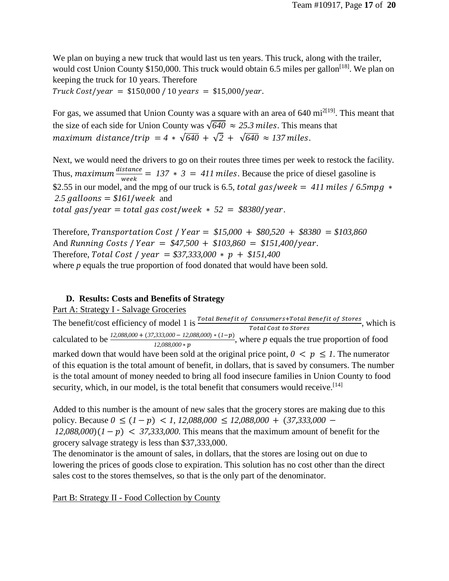We plan on buying a new truck that would last us ten years. This truck, along with the trailer, would cost Union County \$150,000. This truck would obtain 6.5 miles per gallon<sup>[18]</sup>. We plan on keeping the truck for 10 years. Therefore  $Truck Cost/year = $150,000 / 10 years = $15,000/year.$ 

For gas, we assumed that Union County was a square with an area of 640 mi<sup>2[19]</sup>. This meant that the size of each side for Union County was  $\sqrt{640} \approx 25.3$  miles. This means that  $maximum$  *distance*/trip = 4 \*  $\sqrt{640}$  +  $\sqrt{2}$  +  $\sqrt{640}$  ≈ 137 miles.

Next, we would need the drivers to go on their routes three times per week to restock the facility. Thus,  $maximum \frac{distance}{week} = 137 * 3 = 411$  miles. Because the price of diesel gasoline is \$2.55 in our model, and the mpg of our truck is 6.5, *total gas/week* = 411 miles / 6.5mpg  $*$ 2.5 galloons =  $$161/week$  and total gas/year = total gas cost/week  $* 52 = $8380$ /year.

Therefore, Transportation Cost /  $Year = $15,000 + $80,520 + $8380 = $103,860$ And Running Costs /  $Year = $47,500 + $103,860 = $151,400/year$ . Therefore, Total Cost /  $year = $37,333,000 * p + $151,400$ where *p* equals the true proportion of food donated that would have been sold.

#### **D. Results: Costs and Benefits of Strategy**

#### Part A: Strategy I - Salvage Groceries

The benefit/cost efficiency of model 1 is  $\frac{Total\,Benerft\, of\, ConsumerfTotal\, Benerft\, of\, Stores}{Total\, Cost\, to\, Stores}$ , which is calculated to be  $\frac{12,088,000 + (37,333,000 - 12,088,000) * (1-p)}{12,088,000 * p}$ , where *p* equals the true proportion of food marked down that would have been sold at the original price point,  $0 \lt p \leq 1$ . The numerator of this equation is the total amount of benefit, in dollars, that is saved by consumers. The number is the total amount of money needed to bring all food insecure families in Union County to food security, which, in our model, is the total benefit that consumers would receive.  $[14]$ 

Added to this number is the amount of new sales that the grocery stores are making due to this  $policy. Because  $0 \leq (1-p) < 1, 12,088,000 \leq 12,088,000 + (37,333,000 - 1)$$  $12,088,000$  $(1 - p) < 37,333,000$ . This means that the maximum amount of benefit for the grocery salvage strategy is less than \$37,333,000.

The denominator is the amount of sales, in dollars, that the stores are losing out on due to lowering the prices of goods close to expiration. This solution has no cost other than the direct sales cost to the stores themselves, so that is the only part of the denominator.

Part B: Strategy II - Food Collection by County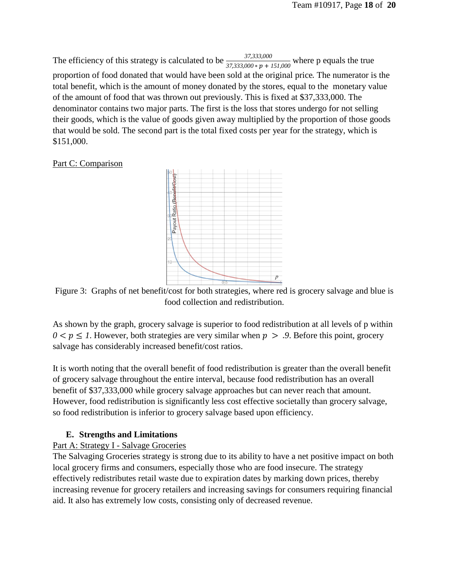The efficiency of this strategy is calculated to be  $\frac{37,333,000}{37,333,000 * p + 151,000}$  where p equals the true proportion of food donated that would have been sold at the original price. The numerator is the total benefit, which is the amount of money donated by the stores, equal to the monetary value of the amount of food that was thrown out previously. This is fixed at \$37,333,000. The denominator contains two major parts. The first is the loss that stores undergo for not selling their goods, which is the value of goods given away multiplied by the proportion of those goods that would be sold. The second part is the total fixed costs per year for the strategy, which is \$151,000.

#### Part C: Comparison



Figure 3: Graphs of net benefit/cost for both strategies, where red is grocery salvage and blue is food collection and redistribution.

As shown by the graph, grocery salvage is superior to food redistribution at all levels of p within  $0 < p \leq 1$ . However, both strategies are very similar when  $p > .9$ . Before this point, grocery salvage has considerably increased benefit/cost ratios.

It is worth noting that the overall benefit of food redistribution is greater than the overall benefit of grocery salvage throughout the entire interval, because food redistribution has an overall benefit of \$37,333,000 while grocery salvage approaches but can never reach that amount. However, food redistribution is significantly less cost effective societally than grocery salvage, so food redistribution is inferior to grocery salvage based upon efficiency.

#### **E. Strengths and Limitations**

#### Part A: Strategy I - Salvage Groceries

The Salvaging Groceries strategy is strong due to its ability to have a net positive impact on both local grocery firms and consumers, especially those who are food insecure. The strategy effectively redistributes retail waste due to expiration dates by marking down prices, thereby increasing revenue for grocery retailers and increasing savings for consumers requiring financial aid. It also has extremely low costs, consisting only of decreased revenue.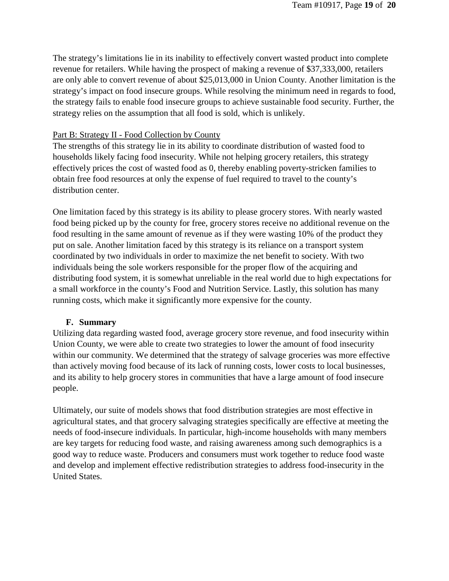The strategy's limitations lie in its inability to effectively convert wasted product into complete revenue for retailers. While having the prospect of making a revenue of \$37,333,000, retailers are only able to convert revenue of about \$25,013,000 in Union County. Another limitation is the strategy's impact on food insecure groups. While resolving the minimum need in regards to food, the strategy fails to enable food insecure groups to achieve sustainable food security. Further, the strategy relies on the assumption that all food is sold, which is unlikely.

#### Part B: Strategy II - Food Collection by County

The strengths of this strategy lie in its ability to coordinate distribution of wasted food to households likely facing food insecurity. While not helping grocery retailers, this strategy effectively prices the cost of wasted food as 0, thereby enabling poverty-stricken families to obtain free food resources at only the expense of fuel required to travel to the county's distribution center.

One limitation faced by this strategy is its ability to please grocery stores. With nearly wasted food being picked up by the county for free, grocery stores receive no additional revenue on the food resulting in the same amount of revenue as if they were wasting 10% of the product they put on sale. Another limitation faced by this strategy is its reliance on a transport system coordinated by two individuals in order to maximize the net benefit to society. With two individuals being the sole workers responsible for the proper flow of the acquiring and distributing food system, it is somewhat unreliable in the real world due to high expectations for a small workforce in the county's Food and Nutrition Service. Lastly, this solution has many running costs, which make it significantly more expensive for the county.

#### **F. Summary**

Utilizing data regarding wasted food, average grocery store revenue, and food insecurity within Union County, we were able to create two strategies to lower the amount of food insecurity within our community. We determined that the strategy of salvage groceries was more effective than actively moving food because of its lack of running costs, lower costs to local businesses, and its ability to help grocery stores in communities that have a large amount of food insecure people.

Ultimately, our suite of models shows that food distribution strategies are most effective in agricultural states, and that grocery salvaging strategies specifically are effective at meeting the needs of food-insecure individuals. In particular, high-income households with many members are key targets for reducing food waste, and raising awareness among such demographics is a good way to reduce waste. Producers and consumers must work together to reduce food waste and develop and implement effective redistribution strategies to address food-insecurity in the United States.